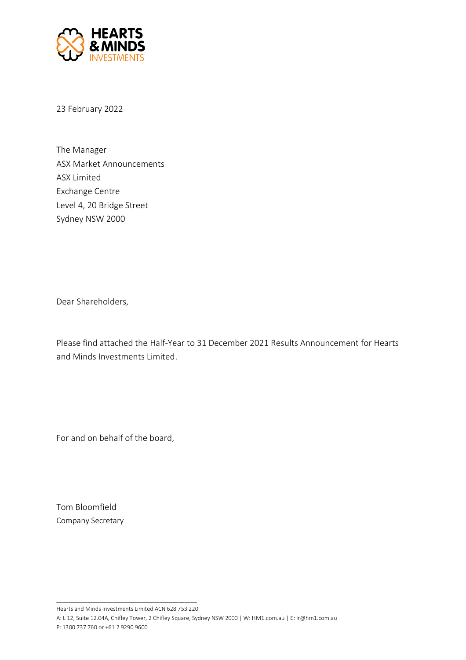

23 February 2022

The Manager ASX Market Announcements ASX Limited Exchange Centre Level 4, 20 Bridge Street Sydney NSW 2000

Dear Shareholders,

Please find attached the Half-Year to 31 December 2021 Results Announcement for Hearts and Minds Investments Limited.

For and on behalf of the board,

Tom Bloomfield Company Secretary

\_\_\_\_\_\_\_\_\_\_\_\_\_\_\_\_\_\_\_\_\_\_\_\_\_\_\_\_\_\_\_\_\_\_\_\_\_\_\_\_\_\_\_\_\_ Hearts and Minds Investments Limited ACN 628 753 220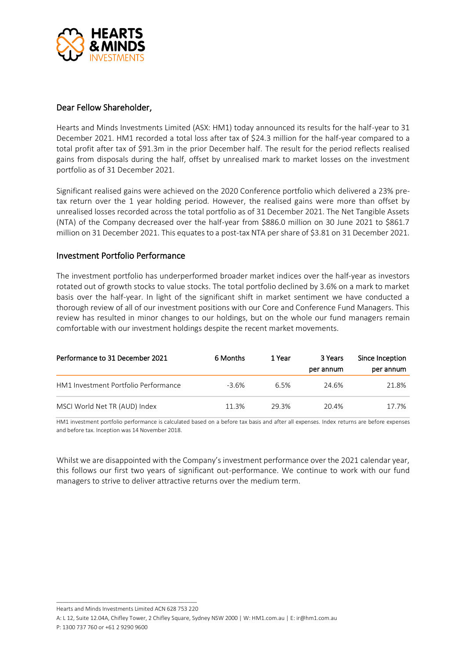

# Dear Fellow Shareholder,

Hearts and Minds Investments Limited (ASX: HM1) today announced its results for the half-year to 31 December 2021. HM1 recorded a total loss after tax of \$24.3 million for the half-year compared to a total profit after tax of \$91.3m in the prior December half. The result for the period reflects realised gains from disposals during the half, offset by unrealised mark to market losses on the investment portfolio as of 31 December 2021.

Significant realised gains were achieved on the 2020 Conference portfolio which delivered a 23% pretax return over the 1 year holding period. However, the realised gains were more than offset by unrealised losses recorded across the total portfolio as of 31 December 2021. The Net Tangible Assets (NTA) of the Company decreased over the half-year from \$886.0 million on 30 June 2021 to \$861.7 million on 31 December 2021. This equates to a post-tax NTA per share of \$3.81 on 31 December 2021.

# Investment Portfolio Performance

The investment portfolio has underperformed broader market indices over the half-year as investors rotated out of growth stocks to value stocks. The total portfolio declined by 3.6% on a mark to market basis over the half-year. In light of the significant shift in market sentiment we have conducted a thorough review of all of our investment positions with our Core and Conference Fund Managers. This review has resulted in minor changes to our holdings, but on the whole our fund managers remain comfortable with our investment holdings despite the recent market movements.

| Performance to 31 December 2021      | 6 Months | 1 Year | 3 Years<br>per annum | Since Inception<br>per annum |
|--------------------------------------|----------|--------|----------------------|------------------------------|
| HM1 Investment Portfolio Performance | $-3.6%$  | 6.5%   | 24.6%                | 21.8%                        |
| MSCI World Net TR (AUD) Index        | 11.3%    | 29.3%  | 20.4%                | 17.7%                        |

HM1 investment portfolio performance is calculated based on a before tax basis and after all expenses. Index returns are before expenses and before tax. Inception was 14 November 2018.

Whilst we are disappointed with the Company's investment performance over the 2021 calendar year, this follows our first two years of significant out-performance. We continue to work with our fund managers to strive to deliver attractive returns over the medium term.

\_\_\_\_\_\_\_\_\_\_\_\_\_\_\_\_\_\_\_\_\_\_\_\_\_\_\_\_\_\_\_\_\_\_\_\_\_\_\_\_\_\_\_\_\_ Hearts and Minds Investments Limited ACN 628 753 220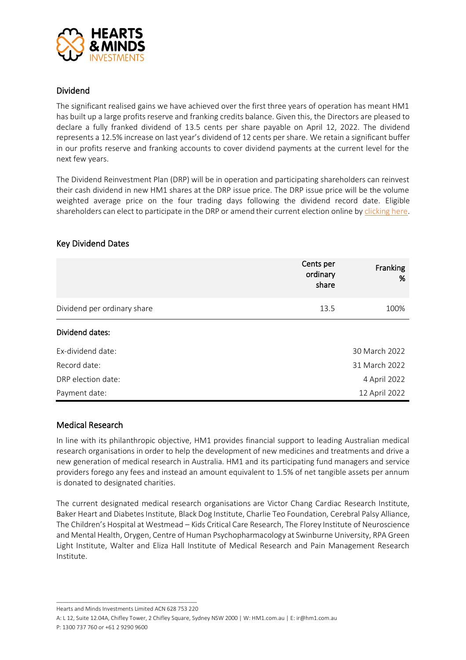

# Dividend

The significant realised gains we have achieved over the first three years of operation has meant HM1 has built up a large profits reserve and franking credits balance. Given this, the Directors are pleased to declare a fully franked dividend of 13.5 cents per share payable on April 12, 2022. The dividend represents a 12.5% increase on last year's dividend of 12 cents per share. We retain a significant buffer in our profits reserve and franking accounts to cover dividend payments at the current level for the next few years.

The Dividend Reinvestment Plan (DRP) will be in operation and participating shareholders can reinvest their cash dividend in new HM1 shares at the DRP issue price. The DRP issue price will be the volume weighted average price on the four trading days following the dividend record date. Eligible shareholders can elect to participate in the DRP or amend their current election online b[y clicking here.](https://www.heartsandmindsinvestments.com.au/site/investor-centre/dividends)

### Key Dividend Dates

|                             | Cents per<br>ordinary<br>share | Franking<br>% |
|-----------------------------|--------------------------------|---------------|
| Dividend per ordinary share | 13.5                           | 100%          |
| Dividend dates:             |                                |               |
| Ex-dividend date:           |                                | 30 March 2022 |
| Record date:                |                                | 31 March 2022 |
| DRP election date:          |                                | 4 April 2022  |
| Payment date:               |                                | 12 April 2022 |

# Medical Research

In line with its philanthropic objective, HM1 provides financial support to leading Australian medical research organisations in order to help the development of new medicines and treatments and drive a new generation of medical research in Australia. HM1 and its participating fund managers and service providers forego any fees and instead an amount equivalent to 1.5% of net tangible assets per annum is donated to designated charities.

The current designated medical research organisations are Victor Chang Cardiac Research Institute, Baker Heart and Diabetes Institute, Black Dog Institute, Charlie Teo Foundation, Cerebral Palsy Alliance, The Children's Hospital at Westmead – Kids Critical Care Research, The Florey Institute of Neuroscience and Mental Health, Orygen, Centre of Human Psychopharmacology at Swinburne University, RPA Green Light Institute, Walter and Eliza Hall Institute of Medical Research and Pain Management Research Institute.

\_\_\_\_\_\_\_\_\_\_\_\_\_\_\_\_\_\_\_\_\_\_\_\_\_\_\_\_\_\_\_\_\_\_\_\_\_\_\_\_\_\_\_\_\_ Hearts and Minds Investments Limited ACN 628 753 220